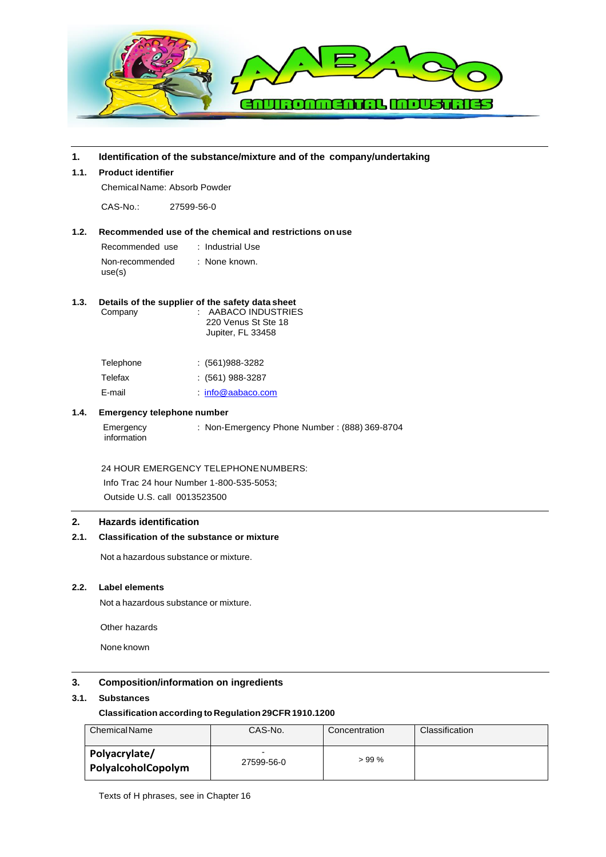

#### **1. Identification of the substance/mixture and of the company/undertaking**

#### **1.1. Product identifier**

ChemicalName: Absorb Powder

CAS-No.: 27599-56-0

# **1.2. Recommended use of the chemical and restrictions on use**

| Recommended use           | : Industrial Use |
|---------------------------|------------------|
| Non-recommended<br>use(s) | : None known.    |

#### **1.3. Details of the supplier of the safety data sheet**

| Company   | AABACO INDUSTRIES<br>220 Venus St Ste 18<br>Jupiter, FL 33458 |
|-----------|---------------------------------------------------------------|
| Talanhona | $(561)088-3282$                                               |

| <b>TEIGNINIE</b> | $1001,900-3202$         |
|------------------|-------------------------|
| Telefax          | $: (561) 988-3287$      |
| E-mail           | $\cdot$ info@aabaco.com |

#### **1.4. Emergency telephone number**

Emergency information : Non-Emergency Phone Number : (888) 369-8704

#### 24 HOUR EMERGENCY TELEPHONENUMBERS:

Info Trac 24 hour Number 1-800-535-5053; Outside U.S. call 0013523500

#### **2. Hazards identification**

#### **2.1. Classification of the substance or mixture**

Not a hazardous substance or mixture.

# **2.2. Label elements**

Not a hazardous substance or mixture.

Other hazards

None known

# **3. Composition/information on ingredients**

# **3.1. Substances**

#### **Classification according to Regulation 29CFR 1910.1200**

| Polyacrylate/<br>-<br>$>99\%$<br>27599-56-0 | <b>Chemical Name</b> | CAS-No. | Concentration | Classification |
|---------------------------------------------|----------------------|---------|---------------|----------------|
|                                             | PolyalcoholCopolym   |         |               |                |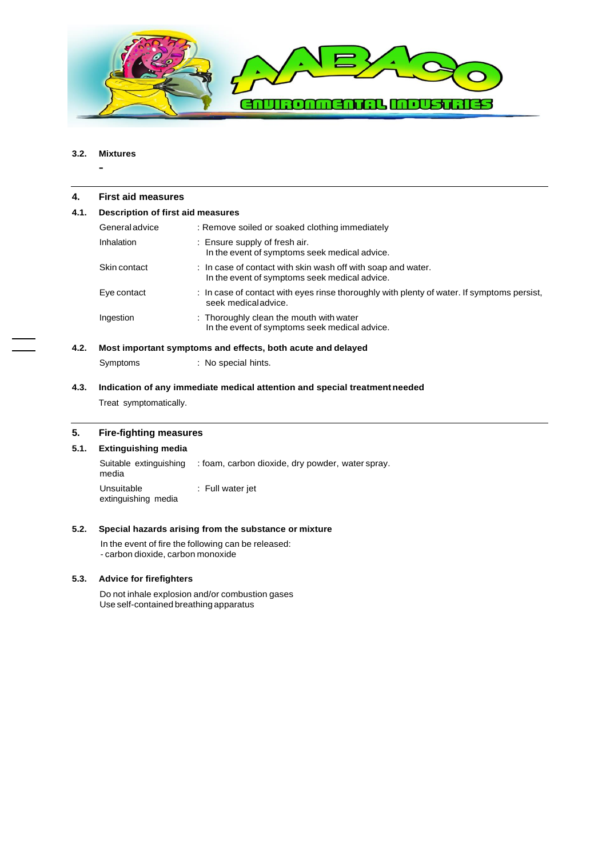

#### **3.2. Mixtures -**

| 4.   | <b>First aid measures</b>         |                                                                                                                   |  |
|------|-----------------------------------|-------------------------------------------------------------------------------------------------------------------|--|
| 4.1. | Description of first aid measures |                                                                                                                   |  |
|      | General advice                    | : Remove soiled or soaked clothing immediately                                                                    |  |
|      | Inhalation                        | : Ensure supply of fresh air.<br>In the event of symptoms seek medical advice.                                    |  |
|      | Skin contact                      | : In case of contact with skin wash off with soap and water.<br>In the event of symptoms seek medical advice.     |  |
|      | Eye contact                       | : In case of contact with eyes rinse thoroughly with plenty of water. If symptoms persist,<br>seek medicaladvice. |  |
|      | Ingestion                         | : Thoroughly clean the mouth with water<br>In the event of symptoms seek medical advice.                          |  |

# **4.2. Most important symptoms and effects, both acute and delayed**

Symptoms : No special hints.

## **4.3. Indication of any immediate medical attention and special treatment needed**

Treat symptomatically.

# **5. Fire-fighting measures**

#### **5.1. Extinguishing media**

Suitable extinguishing media Unsuitable extinguishing media : foam, carbon dioxide, dry powder, water spray. : Full water jet

## **5.2. Special hazards arising from the substance or mixture**

In the event of fire the following can be released: - carbon dioxide, carbon monoxide

## **5.3. Advice for firefighters**

Do not inhale explosion and/or combustion gases Use self-contained breathing apparatus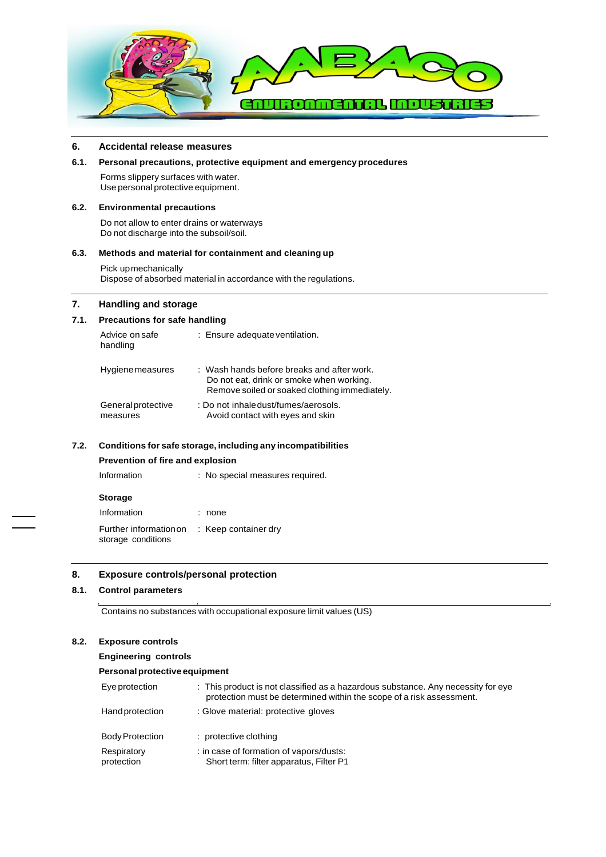

## **6. Accidental release measures**

#### **6.1. Personal precautions, protective equipment and emergency procedures**

Forms slippery surfaces with water. Use personal protective equipment.

#### **6.2. Environmental precautions**

Do not allow to enter drains or waterways Do not discharge into the subsoil/soil.

#### **6.3. Methods and material for containment and cleaning up**

Pick upmechanically Dispose of absorbed material in accordance with the regulations.

# **7. Handling and storage**

## **7.1. Precautions for safe handling**

| Advice on safe<br>handling     | : Ensure adequate ventilation.                                                                                                          |
|--------------------------------|-----------------------------------------------------------------------------------------------------------------------------------------|
| Hygiene measures               | : Wash hands before breaks and after work.<br>Do not eat, drink or smoke when working.<br>Remove soiled or soaked clothing immediately. |
| General protective<br>measures | : Do not inhaledust/fumes/aerosols.<br>Avoid contact with eyes and skin                                                                 |

#### **7.2. Conditions for safe storage, including any incompatibilities**

**Prevention of fire and explosion**

Information : No special measures required.

# **Storage**

| Information                                  | : none               |
|----------------------------------------------|----------------------|
| Further information on<br>storage conditions | : Keep container dry |

# **8. Exposure controls/personal protection**

# **8.1. Control parameters**

Contains no substances with occupational exposure limit values (US)

#### **8.2. Exposure controls**

**Engineering controls** 

#### **Personalprotective equipment**

| Eye protection            | : This product is not classified as a hazardous substance. Any necessity for eye<br>protection must be determined within the scope of a risk assessment. |
|---------------------------|----------------------------------------------------------------------------------------------------------------------------------------------------------|
| Handprotection            | : Glove material: protective gloves                                                                                                                      |
| <b>Body Protection</b>    | : protective clothing                                                                                                                                    |
| Respiratory<br>protection | : in case of formation of vapors/dusts:<br>Short term: filter apparatus, Filter P1                                                                       |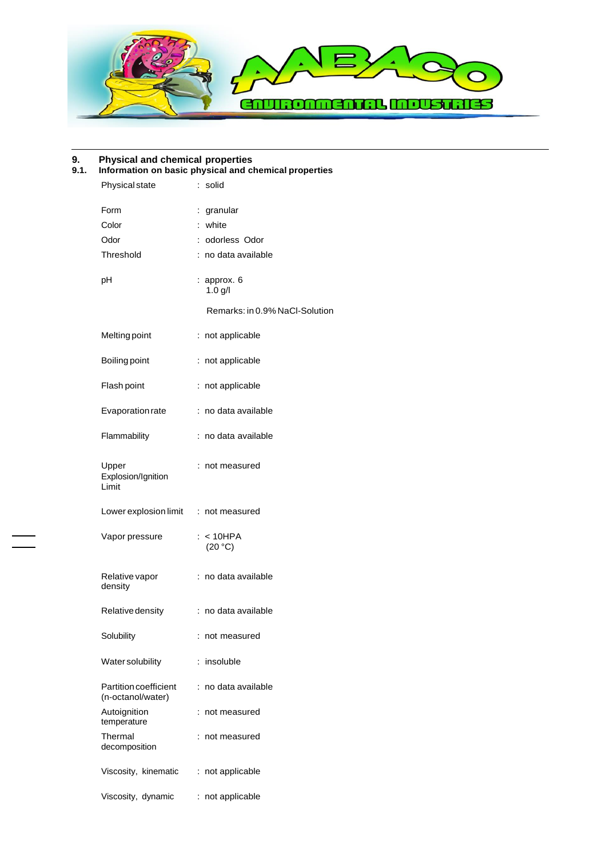

# **9. Physical and chemical properties**

| 9.1. |                                            | Information on basic physical and chemical properties |  |
|------|--------------------------------------------|-------------------------------------------------------|--|
|      | Physical state                             | : solid                                               |  |
|      | Form                                       | : granular                                            |  |
|      | Color                                      | : white                                               |  |
|      | Odor                                       | : odorless Odor                                       |  |
|      | Threshold                                  | : no data available                                   |  |
|      | pH                                         | $:$ approx. $6$<br>$1.0$ g/l                          |  |
|      |                                            | Remarks: in 0.9% NaCl-Solution                        |  |
|      | Melting point                              | : not applicable                                      |  |
|      | Boiling point                              | : not applicable                                      |  |
|      | Flash point                                | : not applicable                                      |  |
|      | Evaporation rate                           | : no data available                                   |  |
|      | Flammability                               | : no data available                                   |  |
|      | Upper<br>Explosion/Ignition<br>Limit       | : not measured                                        |  |
|      | Lower explosion limit : not measured       |                                                       |  |
|      | Vapor pressure                             | :<10HPA<br>(20 °C)                                    |  |
|      | Relative vapor<br>density                  | : no data available                                   |  |
|      | Relative density                           | : no data available                                   |  |
|      | Solubility                                 | : not measured                                        |  |
|      | Water solubility                           | $:$ insoluble                                         |  |
|      | Partition coefficient<br>(n-octanol/water) | : no data available                                   |  |
|      | Autoignition<br>temperature                | : not measured                                        |  |
|      | Thermal<br>decomposition                   | : not measured                                        |  |
|      | Viscosity, kinematic                       | : not applicable                                      |  |
|      | Viscosity, dynamic                         | : not applicable                                      |  |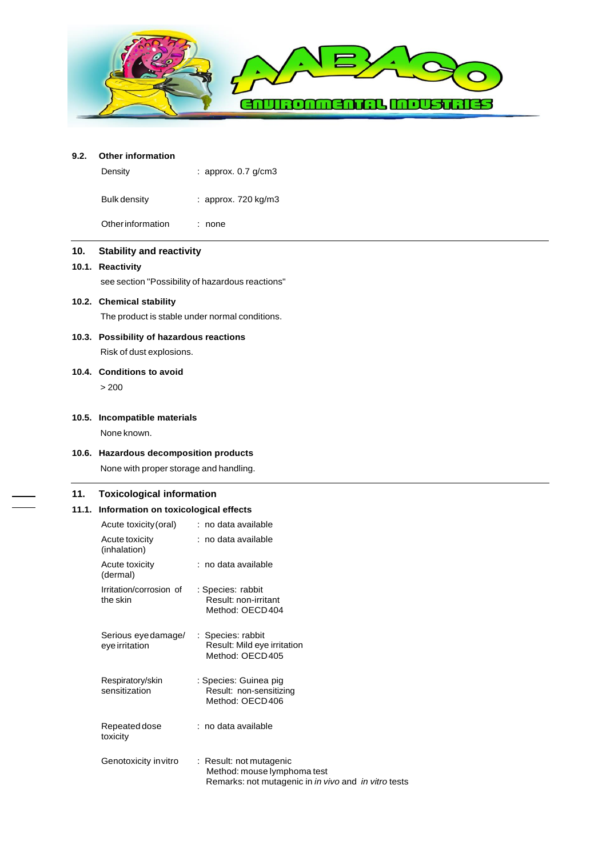

#### **9.2. Other information**

| Density             | : approx. $0.7$ g/cm3          |
|---------------------|--------------------------------|
| <b>Bulk density</b> | : approx. $720 \text{ kg/m}$ 3 |
| Otherinformation    | none                           |

# **10. Stability and reactivity**

# **10.1. Reactivity**

see section "Possibility of hazardous reactions"

### **10.2. Chemical stability**

The product is stable under normal conditions.

**10.3. Possibility of hazardous reactions** Risk of dust explosions.

#### **10.4. Conditions to avoid**

> 200

# **10.5. Incompatible materials**

None known.

# **10.6. Hazardous decomposition products**

None with proper storage and handling.

# **11. Toxicological information**

# **11.1. Information on toxicological effects**

| Acute toxicity (oral)                 | : no data available                                                                                            |
|---------------------------------------|----------------------------------------------------------------------------------------------------------------|
| Acute toxicity<br>(inhalation)        | : no data available                                                                                            |
| Acute toxicity<br>(dermal)            | : no data available                                                                                            |
| Irritation/corrosion of<br>the skin   | : Species: rabbit<br>Result: non-irritant<br>Method: OECD404                                                   |
| Serious eye damage/<br>eye irritation | : Species: rabbit<br>Result: Mild eye irritation<br>Method: OFCD405                                            |
| Respiratory/skin<br>sensitization     | : Species: Guinea pig<br>Result: non-sensitizing<br>Method: OECD406                                            |
| Repeated dose<br>toxicity             | : no data available                                                                                            |
| Genotoxicity in vitro                 | : Result: not mutagenic<br>Method: mouse lymphoma test<br>Remarks: not mutagenic in in vivo and in vitro tests |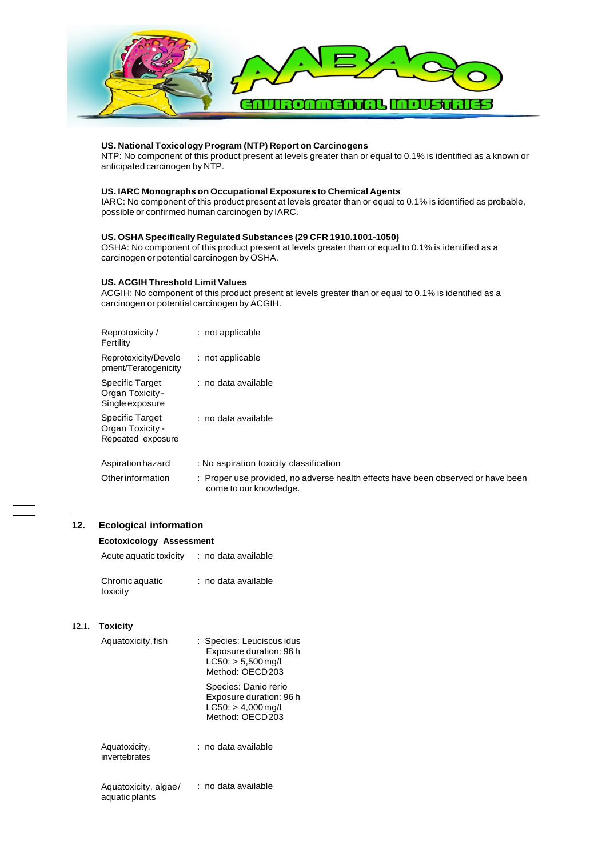

#### **US. National Toxicology Program (NTP) Report on Carcinogens**

NTP: No component of this product present at levels greater than or equal to 0.1% is identified as a known or anticipated carcinogen by NTP.

#### **US. IARC Monographs on Occupational Exposures to Chemical Agents**

IARC: No component of this product present at levels greater than or equal to 0.1% is identified as probable, possible or confirmed human carcinogen by IARC.

#### **US. OSHA Specifically Regulated Substances (29 CFR 1910.1001-1050)**

OSHA: No component of this product present at levels greater than or equal to 0.1% is identified as a carcinogen or potential carcinogen by OSHA.

#### **US. ACGIH Threshold Limit Values**

ACGIH: No component of this product present at levels greater than or equal to 0.1% is identified as a carcinogen or potential carcinogen by ACGIH.

| Reprotoxicity /<br>Fertility                                  | $:$ not applicable                                                                                         |
|---------------------------------------------------------------|------------------------------------------------------------------------------------------------------------|
| Reprotoxicity/Develo<br>pment/Teratogenicity                  | $:$ not applicable                                                                                         |
| <b>Specific Target</b><br>Organ Toxicity -<br>Single exposure | : no data available                                                                                        |
| Specific Target<br>Organ Toxicity -<br>Repeated exposure      | : no data available                                                                                        |
| Aspiration hazard                                             | : No aspiration toxicity classification                                                                    |
| Otherinformation                                              | : Proper use provided, no adverse health effects have been observed or have been<br>come to our knowledge. |

# **12. Ecological information**

**Ecotoxicology Assessment**

| Acute aquatic toxicity : no data available |                                                                                                 |
|--------------------------------------------|-------------------------------------------------------------------------------------------------|
| Chronic aquatic<br>toxicity                | : no data available                                                                             |
| 12.1. Toxicity                             |                                                                                                 |
| Aquatoxicity, fish                         | : Species: Leuciscus idus<br>Exposure duration: 96 h<br>$LC50:$ > 5,500 mg/l<br>Method: OECD203 |
|                                            | Species: Danio rerio<br>Exposure duration: 96 h<br>$LC50:$ > 4,000 mg/l<br>Method: OECD203      |
| Aquatoxicity,<br>invertebrates             | ∶no data available                                                                              |
| Aquatoxicity, algae/<br>aquatic plants     | : no data available                                                                             |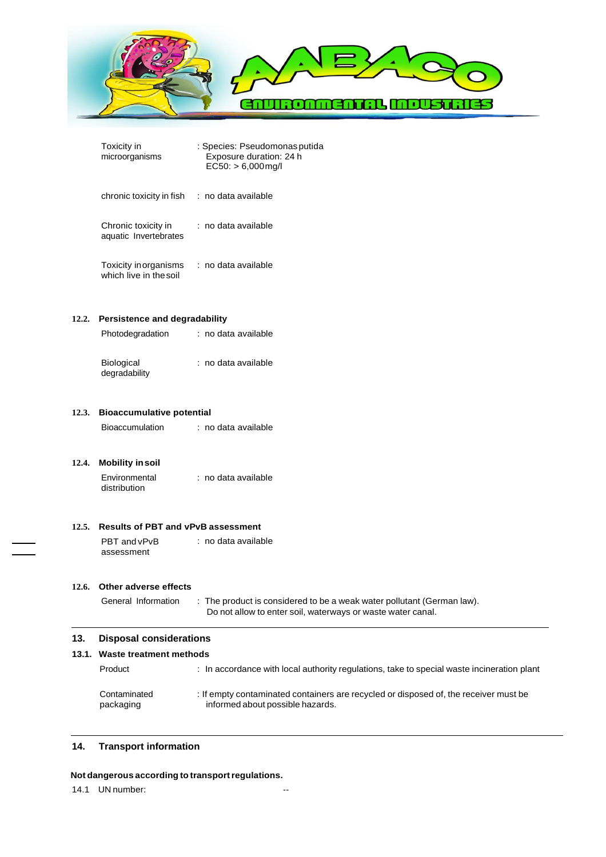

|       | Toxicity in<br>microorganisms                  | : Species: Pseudomonas putida<br>Exposure duration: 24 h<br>$EC50:$ > 6,000 mg/l |
|-------|------------------------------------------------|----------------------------------------------------------------------------------|
|       | chronic toxicity in fish : no data available   |                                                                                  |
|       | Chronic toxicity in<br>aquatic Invertebrates   | : no data available                                                              |
|       | Toxicity inorganisms<br>which live in the soil | : no data available                                                              |
| 12.2. | Persistence and degradability                  |                                                                                  |
|       | Photodegradation : no data available           |                                                                                  |
|       | <b>Biological</b><br>degradability             | : no data available                                                              |
| 12.3. | <b>Bioaccumulative potential</b>               |                                                                                  |
|       | <b>Bioaccumulation</b>                         | : no data available                                                              |
| 12.4. | <b>Mobility in soil</b>                        |                                                                                  |
|       | Environmental<br>distribution                  | : no data available                                                              |
|       |                                                |                                                                                  |
| 12.5. | <b>Results of PBT and vPvB assessment</b>      |                                                                                  |
|       | PBT and vPvB<br>assessment                     | : no data available                                                              |
|       |                                                |                                                                                  |

# **12.6. Other adverse effects**

General Information : The product is considered to be a weak water pollutant (German law). Do not allow to enter soil, waterways or waste water canal.

# **13. Disposal considerations**

# **13.1. Waste treatment methods**

| Product      | : In accordance with local authority regulations, take to special waste incineration plant |
|--------------|--------------------------------------------------------------------------------------------|
| Contaminated | : If empty contaminated containers are recycled or disposed of, the receiver must be       |
| packaging    | informed about possible hazards.                                                           |

# **14. Transport information**

# **Not dangerous according to transportregulations.**

14.1 UN number:  $\qquad \qquad \qquad \text{-}$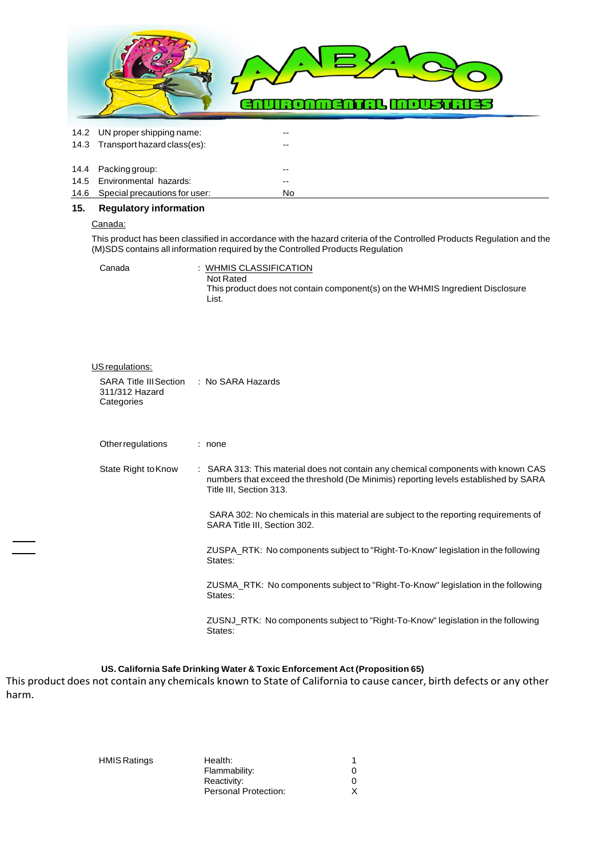

| 14.4 Packing group:                | $- -$                    |  |
|------------------------------------|--------------------------|--|
| 14.5 Environmental hazards:        | $\overline{\phantom{a}}$ |  |
| 14.6 Special precautions for user: | No                       |  |

# **15. Regulatory information**

Canada:

This product has been classified in accordance with the hazard criteria of the Controlled Products Regulation and the (M)SDS contains all information required by the Controlled Products Regulation

# Canada : WHMIS CLASSIFICATION

Not Rated This product does not contain component(s) on the WHMIS Ingredient Disclosure List.

| US regulations:                                               |                                                                                                                                                                                                     |
|---------------------------------------------------------------|-----------------------------------------------------------------------------------------------------------------------------------------------------------------------------------------------------|
| <b>SARA Title III Section</b><br>311/312 Hazard<br>Categories | : No SARA Hazards                                                                                                                                                                                   |
| <b>Other regulations</b>                                      | : none                                                                                                                                                                                              |
| State Right to Know                                           | : SARA 313: This material does not contain any chemical components with known CAS<br>numbers that exceed the threshold (De Minimis) reporting levels established by SARA<br>Title III, Section 313. |
|                                                               | SARA 302: No chemicals in this material are subject to the reporting requirements of<br>SARA Title III, Section 302.                                                                                |
|                                                               | ZUSPA_RTK: No components subject to "Right-To-Know" legislation in the following<br>States:                                                                                                         |
|                                                               | ZUSMA_RTK: No components subject to "Right-To-Know" legislation in the following<br>States:                                                                                                         |
|                                                               | ZUSNJ_RTK: No components subject to "Right-To-Know" legislation in the following<br>States:                                                                                                         |

## **US. California Safe Drinking Water & Toxic Enforcement Act (Proposition 65)**

This product does not contain any chemicals known to State of California to cause cancer, birth defects or any other harm.

| HMIS Ratings | Health:                     |  |
|--------------|-----------------------------|--|
|              | Flammability:               |  |
|              | Reactivity:                 |  |
|              | <b>Personal Protection:</b> |  |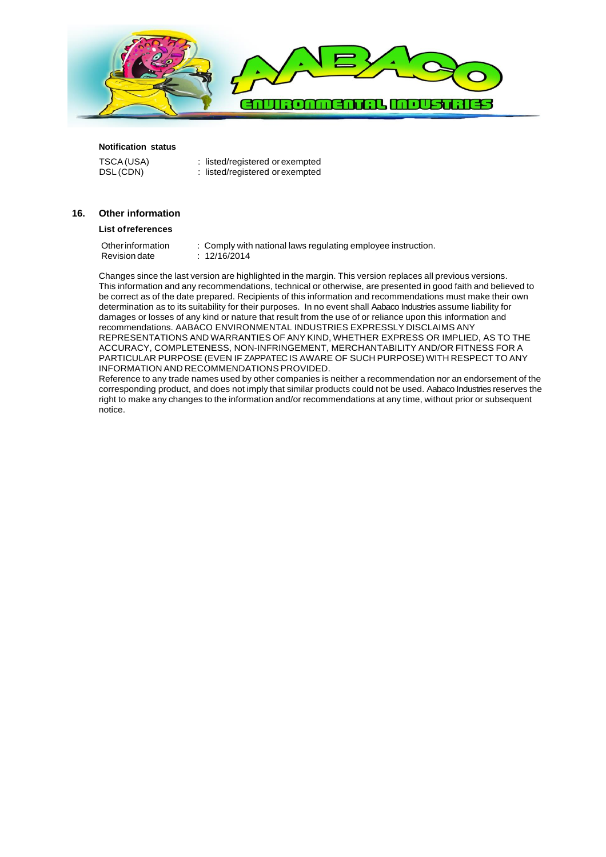

#### **Notification status**

| TSCA (USA) |  |
|------------|--|
| DSL(CDN)   |  |

: listed/registered or exempted

# : listed/registered or exempted

# **16. Other information**

## **List ofreferences**

Revision date : 12/16/2014

Otherinformation : Comply with national laws regulating employee instruction.

Changes since the last version are highlighted in the margin. This version replaces all previous versions. This information and any recommendations, technical or otherwise, are presented in good faith and believed to be correct as of the date prepared. Recipients of this information and recommendations must make their own determination as to its suitability for their purposes. In no event shall Aabaco Industries assume liability for damages or losses of any kind or nature that result from the use of or reliance upon this information and recommendations. AABACO ENVIRONMENTAL INDUSTRIES EXPRESSLY DISCLAIMS ANY REPRESENTATIONS AND WARRANTIES OF ANY KIND, WHETHER EXPRESS OR IMPLIED, AS TO THE ACCURACY, COMPLETENESS, NON-INFRINGEMENT, MERCHANTABILITY AND/OR FITNESS FOR A PARTICULAR PURPOSE (EVEN IF ZAPPATEC IS AWARE OF SUCH PURPOSE) WITH RESPECT TO ANY INFORMATION AND RECOMMENDATIONS PROVIDED.

Reference to any trade names used by other companies is neither a recommendation nor an endorsement of the corresponding product, and does not imply that similar products could not be used. Aabaco Industries reserves the right to make any changes to the information and/or recommendations at any time, without prior or subsequent notice.